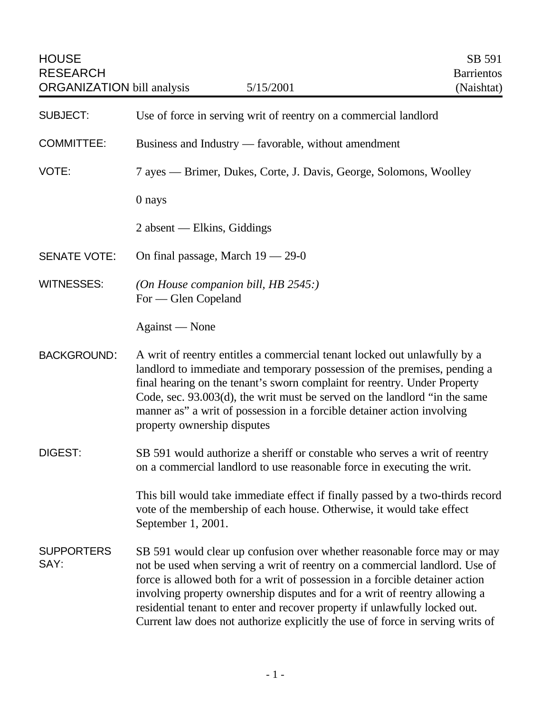| <b>HOUSE</b><br><b>RESEARCH</b><br><b>ORGANIZATION</b> bill analysis | 5/15/2001                                                                                                                                                                                                                                                                                                                                                                                                                                                                             | SB 591<br><b>Barrientos</b><br>(Naishtat) |
|----------------------------------------------------------------------|---------------------------------------------------------------------------------------------------------------------------------------------------------------------------------------------------------------------------------------------------------------------------------------------------------------------------------------------------------------------------------------------------------------------------------------------------------------------------------------|-------------------------------------------|
| <b>SUBJECT:</b>                                                      | Use of force in serving writ of reentry on a commercial landlord                                                                                                                                                                                                                                                                                                                                                                                                                      |                                           |
| <b>COMMITTEE:</b>                                                    | Business and Industry — favorable, without amendment                                                                                                                                                                                                                                                                                                                                                                                                                                  |                                           |
| VOTE:                                                                | 7 ayes — Brimer, Dukes, Corte, J. Davis, George, Solomons, Woolley                                                                                                                                                                                                                                                                                                                                                                                                                    |                                           |
|                                                                      | 0 nays                                                                                                                                                                                                                                                                                                                                                                                                                                                                                |                                           |
|                                                                      | 2 absent — Elkins, Giddings                                                                                                                                                                                                                                                                                                                                                                                                                                                           |                                           |
| <b>SENATE VOTE:</b>                                                  | On final passage, March $19 - 29 - 0$                                                                                                                                                                                                                                                                                                                                                                                                                                                 |                                           |
| <b>WITNESSES:</b>                                                    | (On House companion bill, HB 2545:)<br>For — Glen Copeland                                                                                                                                                                                                                                                                                                                                                                                                                            |                                           |
|                                                                      | Against — None                                                                                                                                                                                                                                                                                                                                                                                                                                                                        |                                           |
| <b>BACKGROUND:</b>                                                   | A writ of reentry entitles a commercial tenant locked out unlawfully by a<br>landlord to immediate and temporary possession of the premises, pending a<br>final hearing on the tenant's sworn complaint for reentry. Under Property<br>Code, sec. $93.003(d)$ , the writ must be served on the landlord "in the same<br>manner as" a writ of possession in a forcible detainer action involving<br>property ownership disputes                                                        |                                           |
| <b>DIGEST:</b>                                                       | SB 591 would authorize a sheriff or constable who serves a writ of reentry<br>on a commercial landlord to use reasonable force in executing the writ.                                                                                                                                                                                                                                                                                                                                 |                                           |
|                                                                      | This bill would take immediate effect if finally passed by a two-thirds record<br>vote of the membership of each house. Otherwise, it would take effect<br>September 1, 2001.                                                                                                                                                                                                                                                                                                         |                                           |
| <b>SUPPORTERS</b><br>SAY:                                            | SB 591 would clear up confusion over whether reasonable force may or may<br>not be used when serving a writ of reentry on a commercial landlord. Use of<br>force is allowed both for a writ of possession in a forcible detainer action<br>involving property ownership disputes and for a writ of reentry allowing a<br>residential tenant to enter and recover property if unlawfully locked out.<br>Current law does not authorize explicitly the use of force in serving writs of |                                           |